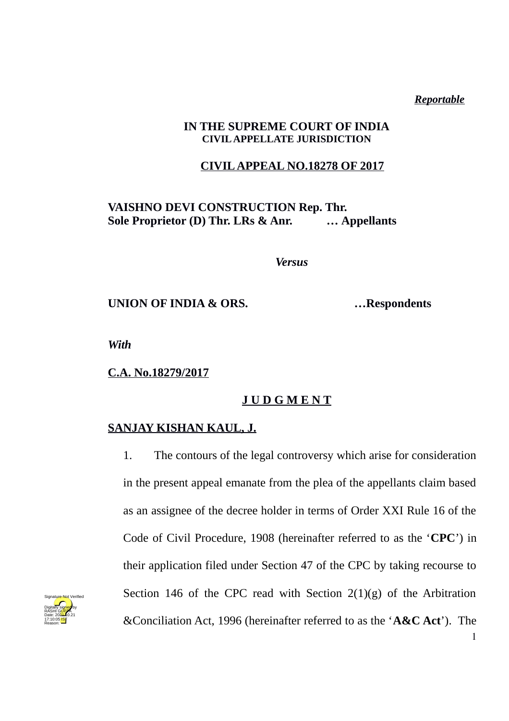*Reportable*

1

### **IN THE SUPREME COURT OF INDIA CIVIL APPELLATE JURISDICTION**

## **CIVIL APPEAL NO.18278 OF 2017**

## **VAISHNO DEVI CONSTRUCTION Rep. Thr. Sole Proprietor (D) Thr. LRs & Anr. … Appellants**

*Versus*

**UNION OF INDIA & ORS. …Respondents**

*With*

**C.A. No.18279/2017**

# **J U D G M E N T**

### **SANJAY KISHAN KAUL, J.**

1. The contours of the legal controversy which arise for consideration in the present appeal emanate from the plea of the appellants claim based as an assignee of the decree holder in terms of Order XXI Rule 16 of the Code of Civil Procedure, 1908 (hereinafter referred to as the '**CPC**') in their application filed under Section 47 of the CPC by taking recourse to Section 146 of the CPC read with Section  $2(1)(g)$  of the Arbitration &Conciliation Act, 1996 (hereinafter referred to as the '**A&C Act**'). The

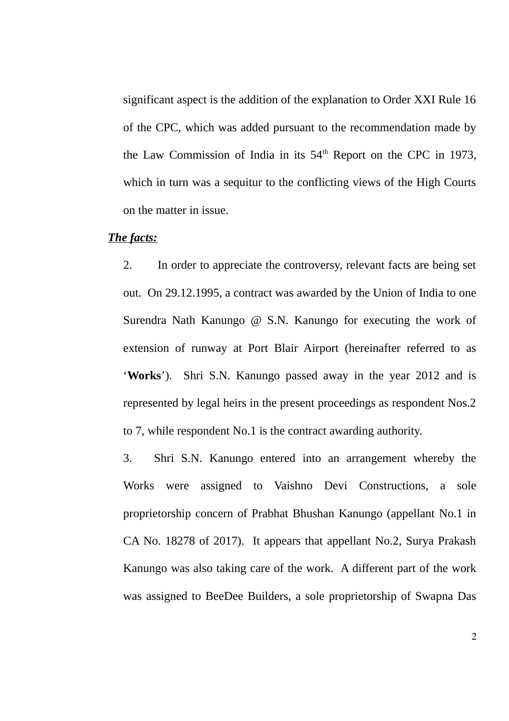significant aspect is the addition of the explanation to Order XXI Rule 16 of the CPC, which was added pursuant to the recommendation made by the Law Commission of India in its  $54<sup>th</sup>$  Report on the CPC in 1973, which in turn was a sequitur to the conflicting views of the High Courts on the matter in issue.

#### *The facts:*

2. In order to appreciate the controversy, relevant facts are being set out. On 29.12.1995, a contract was awarded by the Union of India to one Surendra Nath Kanungo  $\omega$  S.N. Kanungo for executing the work of extension of runway at Port Blair Airport (hereinafter referred to as '**Works**'). Shri S.N. Kanungo passed away in the year 2012 and is represented by legal heirs in the present proceedings as respondent Nos.2 to 7, while respondent No.1 is the contract awarding authority.

3. Shri S.N. Kanungo entered into an arrangement whereby the Works were assigned to Vaishno Devi Constructions, a sole proprietorship concern of Prabhat Bhushan Kanungo (appellant No.1 in CA No. 18278 of 2017). It appears that appellant No.2, Surya Prakash Kanungo was also taking care of the work. A different part of the work was assigned to BeeDee Builders, a sole proprietorship of Swapna Das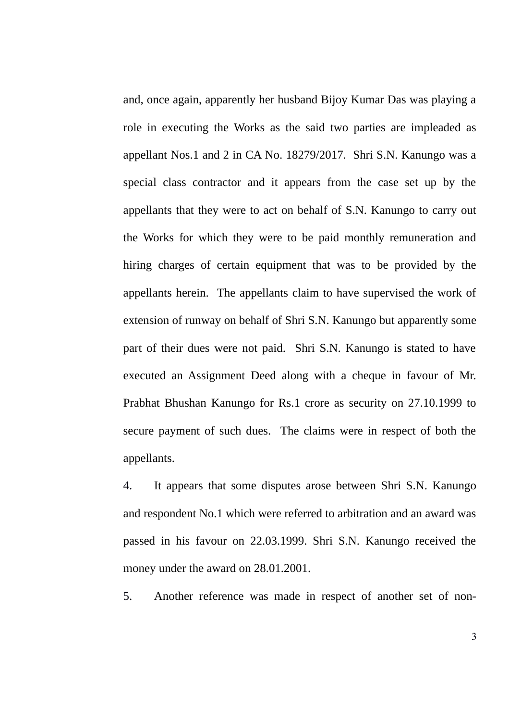and, once again, apparently her husband Bijoy Kumar Das was playing a role in executing the Works as the said two parties are impleaded as appellant Nos.1 and 2 in CA No. 18279/2017. Shri S.N. Kanungo was a special class contractor and it appears from the case set up by the appellants that they were to act on behalf of S.N. Kanungo to carry out the Works for which they were to be paid monthly remuneration and hiring charges of certain equipment that was to be provided by the appellants herein. The appellants claim to have supervised the work of extension of runway on behalf of Shri S.N. Kanungo but apparently some part of their dues were not paid. Shri S.N. Kanungo is stated to have executed an Assignment Deed along with a cheque in favour of Mr. Prabhat Bhushan Kanungo for Rs.1 crore as security on 27.10.1999 to secure payment of such dues. The claims were in respect of both the appellants.

4. It appears that some disputes arose between Shri S.N. Kanungo and respondent No.1 which were referred to arbitration and an award was passed in his favour on 22.03.1999. Shri S.N. Kanungo received the money under the award on 28.01.2001.

5. Another reference was made in respect of another set of non-

3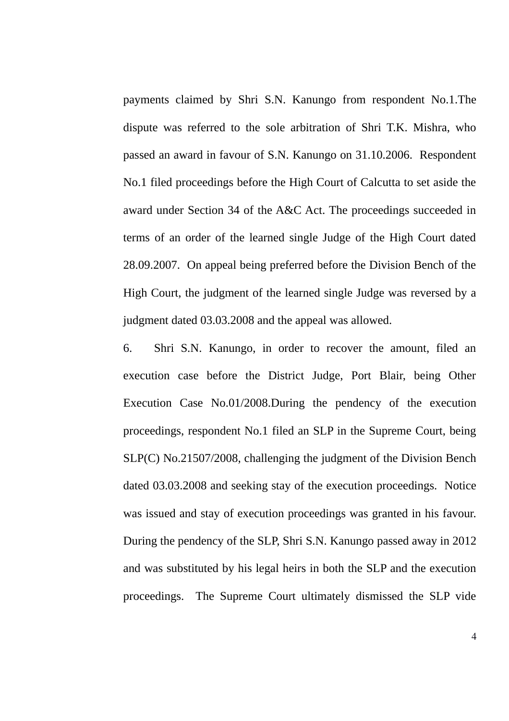payments claimed by Shri S.N. Kanungo from respondent No.1.The dispute was referred to the sole arbitration of Shri T.K. Mishra, who passed an award in favour of S.N. Kanungo on 31.10.2006. Respondent No.1 filed proceedings before the High Court of Calcutta to set aside the award under Section 34 of the A&C Act. The proceedings succeeded in terms of an order of the learned single Judge of the High Court dated 28.09.2007. On appeal being preferred before the Division Bench of the High Court, the judgment of the learned single Judge was reversed by a judgment dated 03.03.2008 and the appeal was allowed.

6. Shri S.N. Kanungo, in order to recover the amount, filed an execution case before the District Judge, Port Blair, being Other Execution Case No.01/2008.During the pendency of the execution proceedings, respondent No.1 filed an SLP in the Supreme Court, being SLP(C) No.21507/2008, challenging the judgment of the Division Bench dated 03.03.2008 and seeking stay of the execution proceedings. Notice was issued and stay of execution proceedings was granted in his favour. During the pendency of the SLP, Shri S.N. Kanungo passed away in 2012 and was substituted by his legal heirs in both the SLP and the execution proceedings. The Supreme Court ultimately dismissed the SLP vide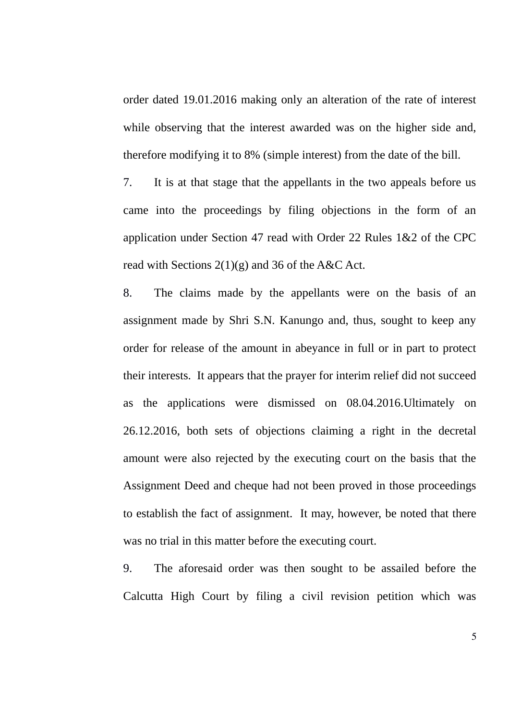order dated 19.01.2016 making only an alteration of the rate of interest while observing that the interest awarded was on the higher side and, therefore modifying it to 8% (simple interest) from the date of the bill.

7. It is at that stage that the appellants in the two appeals before us came into the proceedings by filing objections in the form of an application under Section 47 read with Order 22 Rules 1&2 of the CPC read with Sections  $2(1)(g)$  and 36 of the A&C Act.

8. The claims made by the appellants were on the basis of an assignment made by Shri S.N. Kanungo and, thus, sought to keep any order for release of the amount in abeyance in full or in part to protect their interests. It appears that the prayer for interim relief did not succeed as the applications were dismissed on 08.04.2016.Ultimately on 26.12.2016, both sets of objections claiming a right in the decretal amount were also rejected by the executing court on the basis that the Assignment Deed and cheque had not been proved in those proceedings to establish the fact of assignment. It may, however, be noted that there was no trial in this matter before the executing court.

9. The aforesaid order was then sought to be assailed before the Calcutta High Court by filing a civil revision petition which was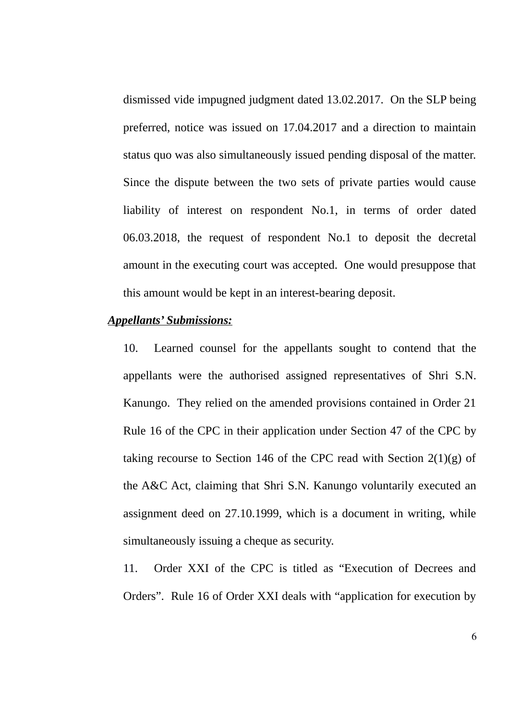dismissed vide impugned judgment dated 13.02.2017. On the SLP being preferred, notice was issued on 17.04.2017 and a direction to maintain status quo was also simultaneously issued pending disposal of the matter. Since the dispute between the two sets of private parties would cause liability of interest on respondent No.1, in terms of order dated 06.03.2018, the request of respondent No.1 to deposit the decretal amount in the executing court was accepted. One would presuppose that this amount would be kept in an interest-bearing deposit.

#### *Appellants' Submissions:*

10. Learned counsel for the appellants sought to contend that the appellants were the authorised assigned representatives of Shri S.N. Kanungo. They relied on the amended provisions contained in Order 21 Rule 16 of the CPC in their application under Section 47 of the CPC by taking recourse to Section 146 of the CPC read with Section  $2(1)(g)$  of the A&C Act, claiming that Shri S.N. Kanungo voluntarily executed an assignment deed on 27.10.1999, which is a document in writing, while simultaneously issuing a cheque as security.

11. Order XXI of the CPC is titled as "Execution of Decrees and Orders". Rule 16 of Order XXI deals with "application for execution by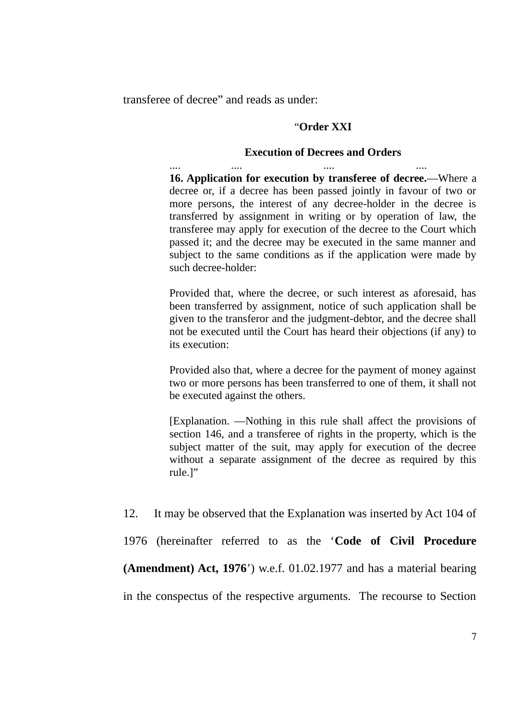transferee of decree" and reads as under:

#### "**Order XXI**

#### **Execution of Decrees and Orders**

.... .... .... .... **16. Application for execution by transferee of decree.**—Where a decree or, if a decree has been passed jointly in favour of two or more persons, the interest of any decree-holder in the decree is transferred by assignment in writing or by operation of law, the transferee may apply for execution of the decree to the Court which passed it; and the decree may be executed in the same manner and subject to the same conditions as if the application were made by such decree-holder:

Provided that, where the decree, or such interest as aforesaid, has been transferred by assignment, notice of such application shall be given to the transferor and the judgment-debtor, and the decree shall not be executed until the Court has heard their objections (if any) to its execution:

Provided also that, where a decree for the payment of money against two or more persons has been transferred to one of them, it shall not be executed against the others.

[Explanation. —Nothing in this rule shall affect the provisions of section 146, and a transferee of rights in the property, which is the subject matter of the suit, may apply for execution of the decree without a separate assignment of the decree as required by this rule.]"

12. It may be observed that the Explanation was inserted by Act 104 of

1976 (hereinafter referred to as the '**Code of Civil Procedure**

**(Amendment) Act, 1976**') w.e.f. 01.02.1977 and has a material bearing

in the conspectus of the respective arguments. The recourse to Section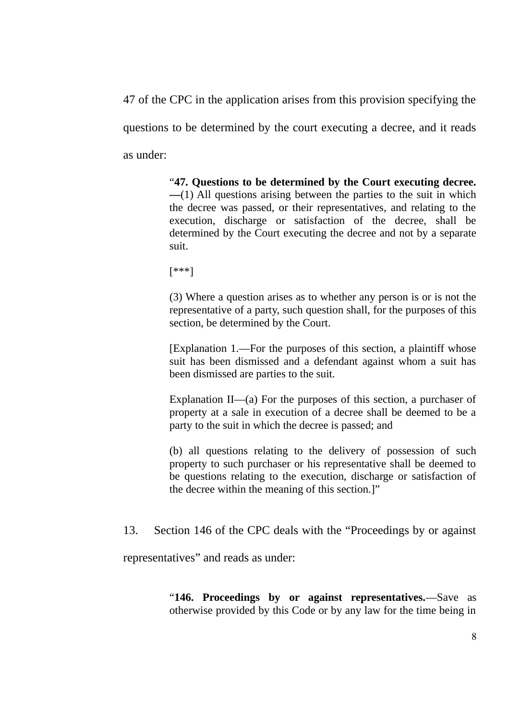47 of the CPC in the application arises from this provision specifying the questions to be determined by the court executing a decree, and it reads as under:

> "**47. Questions to be determined by the Court executing decree. —**(1) All questions arising between the parties to the suit in which the decree was passed, or their representatives, and relating to the execution, discharge or satisfaction of the decree, shall be determined by the Court executing the decree and not by a separate suit.

[\*\*\*]

(3) Where a question arises as to whether any person is or is not the representative of a party, such question shall, for the purposes of this section, be determined by the Court.

[Explanation 1.—For the purposes of this section, a plaintiff whose suit has been dismissed and a defendant against whom a suit has been dismissed are parties to the suit.

Explanation II—(a) For the purposes of this section, a purchaser of property at a sale in execution of a decree shall be deemed to be a party to the suit in which the decree is passed; and

(b) all questions relating to the delivery of possession of such property to such purchaser or his representative shall be deemed to be questions relating to the execution, discharge or satisfaction of the decree within the meaning of this section.]"

13. Section 146 of the CPC deals with the "Proceedings by or against

representatives" and reads as under:

"**146. Proceedings by or against representatives.**—Save as otherwise provided by this Code or by any law for the time being in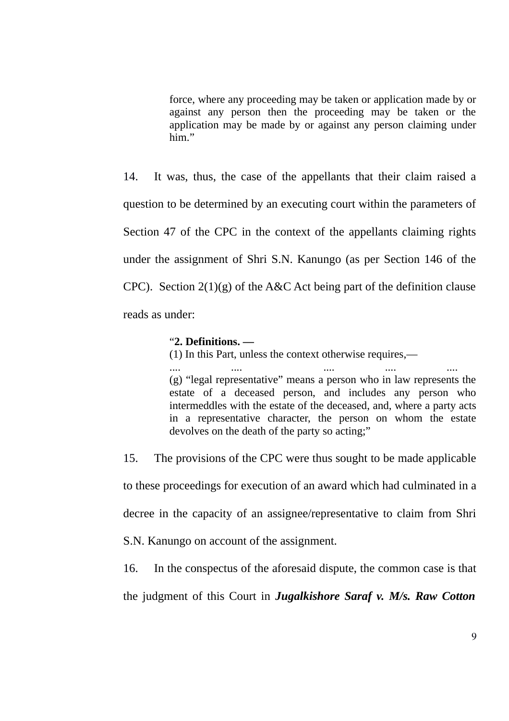force, where any proceeding may be taken or application made by or against any person then the proceeding may be taken or the application may be made by or against any person claiming under him"

14. It was, thus, the case of the appellants that their claim raised a question to be determined by an executing court within the parameters of Section 47 of the CPC in the context of the appellants claiming rights under the assignment of Shri S.N. Kanungo (as per Section 146 of the CPC). Section 2(1)(g) of the A&C Act being part of the definition clause reads as under:

#### "**2. Definitions. —**

(1) In this Part, unless the context otherwise requires,—

.... .... .... .... .... (g) "legal representative" means a person who in law represents the estate of a deceased person, and includes any person who intermeddles with the estate of the deceased, and, where a party acts in a representative character, the person on whom the estate devolves on the death of the party so acting;"

15. The provisions of the CPC were thus sought to be made applicable to these proceedings for execution of an award which had culminated in a decree in the capacity of an assignee/representative to claim from Shri

S.N. Kanungo on account of the assignment.

16. In the conspectus of the aforesaid dispute, the common case is that

the judgment of this Court in *Jugalkishore Saraf v. M/s. Raw Cotton*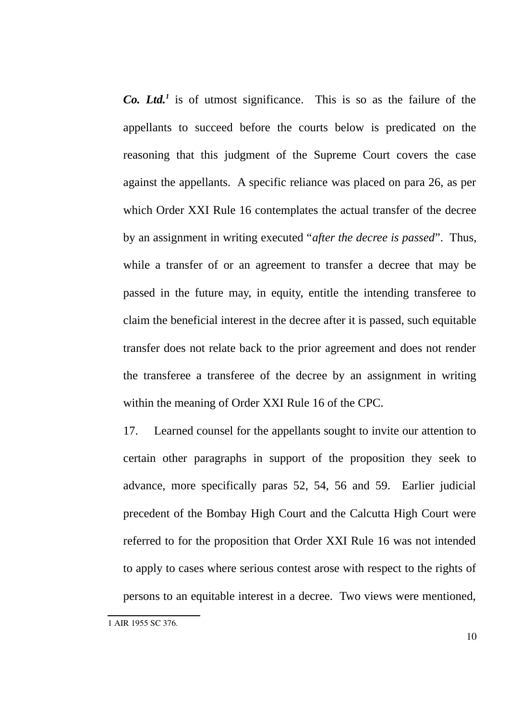*Co. Ltd.[1](#page-9-0)* is of utmost significance. This is so as the failure of the appellants to succeed before the courts below is predicated on the reasoning that this judgment of the Supreme Court covers the case against the appellants. A specific reliance was placed on para 26, as per which Order XXI Rule 16 contemplates the actual transfer of the decree by an assignment in writing executed "*after the decree is passed*". Thus, while a transfer of or an agreement to transfer a decree that may be passed in the future may, in equity, entitle the intending transferee to claim the beneficial interest in the decree after it is passed, such equitable transfer does not relate back to the prior agreement and does not render the transferee a transferee of the decree by an assignment in writing within the meaning of Order XXI Rule 16 of the CPC.

17. Learned counsel for the appellants sought to invite our attention to certain other paragraphs in support of the proposition they seek to advance, more specifically paras 52, 54, 56 and 59. Earlier judicial precedent of the Bombay High Court and the Calcutta High Court were referred to for the proposition that Order XXI Rule 16 was not intended to apply to cases where serious contest arose with respect to the rights of persons to an equitable interest in a decree. Two views were mentioned,

<span id="page-9-0"></span><sup>1</sup> AIR 1955 SC 376.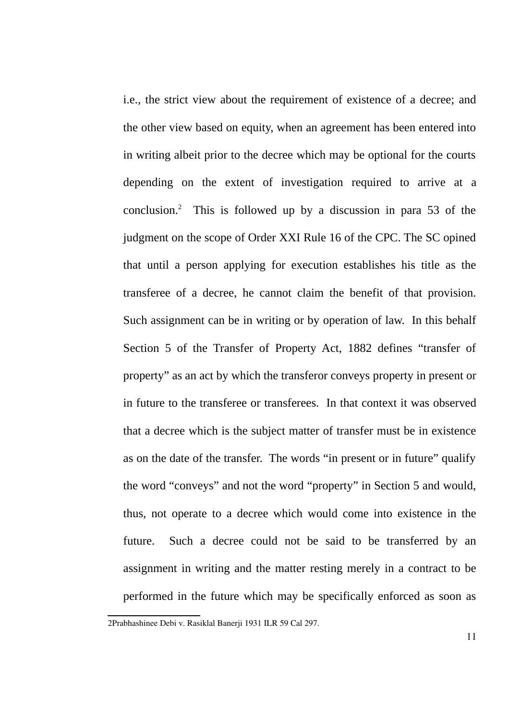i.e., the strict view about the requirement of existence of a decree; and the other view based on equity, when an agreement has been entered into in writing albeit prior to the decree which may be optional for the courts depending on the extent of investigation required to arrive at a conclusion.<sup>[2](#page-10-0)</sup> This is followed up by a discussion in para 53 of the judgment on the scope of Order XXI Rule 16 of the CPC. The SC opined that until a person applying for execution establishes his title as the transferee of a decree, he cannot claim the benefit of that provision. Such assignment can be in writing or by operation of law. In this behalf Section 5 of the Transfer of Property Act, 1882 defines "transfer of property" as an act by which the transferor conveys property in present or in future to the transferee or transferees. In that context it was observed that a decree which is the subject matter of transfer must be in existence as on the date of the transfer. The words "in present or in future" qualify the word "conveys" and not the word "property" in Section 5 and would, thus, not operate to a decree which would come into existence in the future. Such a decree could not be said to be transferred by an assignment in writing and the matter resting merely in a contract to be performed in the future which may be specifically enforced as soon as

<span id="page-10-0"></span><sup>2</sup>Prabhashinee Debi v. Rasiklal Banerji 1931 ILR 59 Cal 297.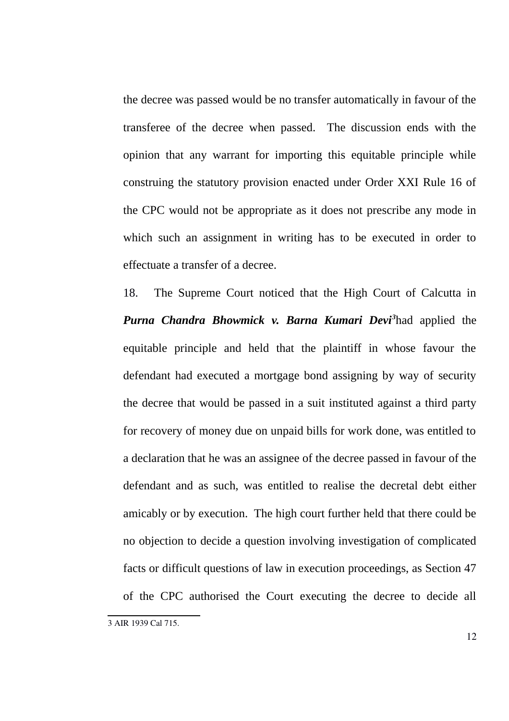the decree was passed would be no transfer automatically in favour of the transferee of the decree when passed. The discussion ends with the opinion that any warrant for importing this equitable principle while construing the statutory provision enacted under Order XXI Rule 16 of the CPC would not be appropriate as it does not prescribe any mode in which such an assignment in writing has to be executed in order to effectuate a transfer of a decree.

18. The Supreme Court noticed that the High Court of Calcutta in *Purna Chandra Bhowmick v. Barna Kumari Devi[3](#page-11-0)* had applied the equitable principle and held that the plaintiff in whose favour the defendant had executed a mortgage bond assigning by way of security the decree that would be passed in a suit instituted against a third party for recovery of money due on unpaid bills for work done, was entitled to a declaration that he was an assignee of the decree passed in favour of the defendant and as such, was entitled to realise the decretal debt either amicably or by execution. The high court further held that there could be no objection to decide a question involving investigation of complicated facts or difficult questions of law in execution proceedings, as Section 47 of the CPC authorised the Court executing the decree to decide all

<span id="page-11-0"></span><sup>3</sup> AIR 1939 Cal 715.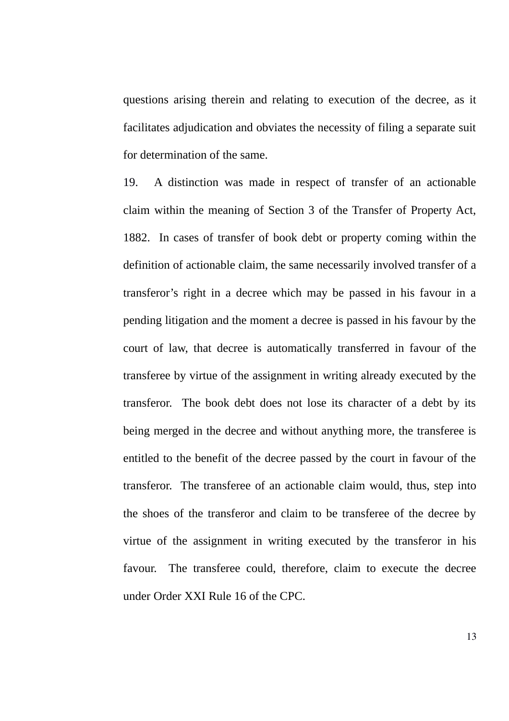questions arising therein and relating to execution of the decree, as it facilitates adjudication and obviates the necessity of filing a separate suit for determination of the same.

19. A distinction was made in respect of transfer of an actionable claim within the meaning of Section 3 of the Transfer of Property Act, 1882. In cases of transfer of book debt or property coming within the definition of actionable claim, the same necessarily involved transfer of a transferor's right in a decree which may be passed in his favour in a pending litigation and the moment a decree is passed in his favour by the court of law, that decree is automatically transferred in favour of the transferee by virtue of the assignment in writing already executed by the transferor. The book debt does not lose its character of a debt by its being merged in the decree and without anything more, the transferee is entitled to the benefit of the decree passed by the court in favour of the transferor. The transferee of an actionable claim would, thus, step into the shoes of the transferor and claim to be transferee of the decree by virtue of the assignment in writing executed by the transferor in his favour. The transferee could, therefore, claim to execute the decree under Order XXI Rule 16 of the CPC.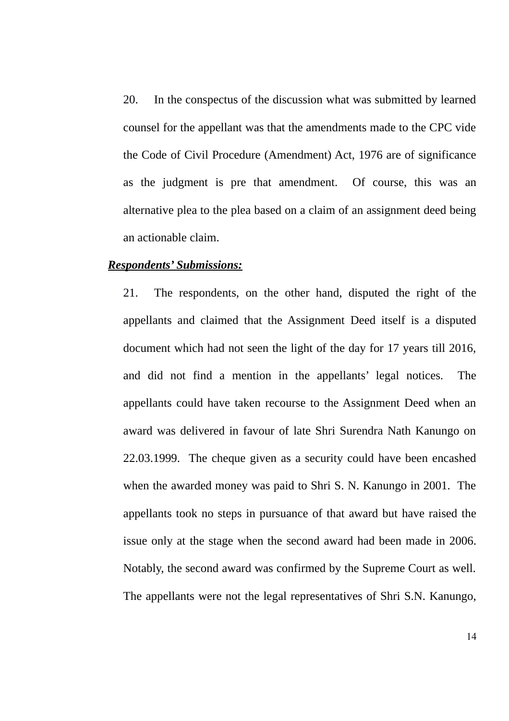20. In the conspectus of the discussion what was submitted by learned counsel for the appellant was that the amendments made to the CPC vide the Code of Civil Procedure (Amendment) Act, 1976 are of significance as the judgment is pre that amendment. Of course, this was an alternative plea to the plea based on a claim of an assignment deed being an actionable claim.

#### *Respondents' Submissions:*

21. The respondents, on the other hand, disputed the right of the appellants and claimed that the Assignment Deed itself is a disputed document which had not seen the light of the day for 17 years till 2016, and did not find a mention in the appellants' legal notices. The appellants could have taken recourse to the Assignment Deed when an award was delivered in favour of late Shri Surendra Nath Kanungo on 22.03.1999. The cheque given as a security could have been encashed when the awarded money was paid to Shri S. N. Kanungo in 2001. The appellants took no steps in pursuance of that award but have raised the issue only at the stage when the second award had been made in 2006. Notably, the second award was confirmed by the Supreme Court as well. The appellants were not the legal representatives of Shri S.N. Kanungo,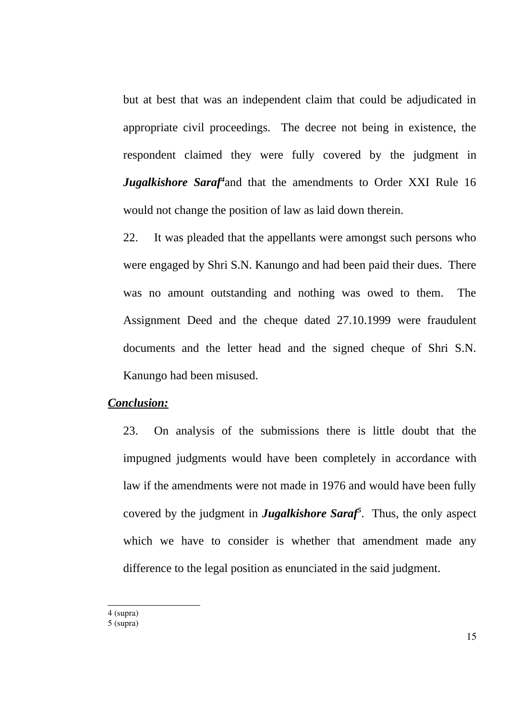but at best that was an independent claim that could be adjudicated in appropriate civil proceedings. The decree not being in existence, the respondent claimed they were fully covered by the judgment in Jugalkishore Saraf<sup>[4](#page-14-0)</sup> and that the amendments to Order XXI Rule 16 would not change the position of law as laid down therein.

22. It was pleaded that the appellants were amongst such persons who were engaged by Shri S.N. Kanungo and had been paid their dues. There was no amount outstanding and nothing was owed to them. The Assignment Deed and the cheque dated 27.10.1999 were fraudulent documents and the letter head and the signed cheque of Shri S.N. Kanungo had been misused.

### *Conclusion:*

23. On analysis of the submissions there is little doubt that the impugned judgments would have been completely in accordance with law if the amendments were not made in 1976 and would have been fully covered by the judgment in *Jugalkishore Saraf[5](#page-14-1)* . Thus, the only aspect which we have to consider is whether that amendment made any difference to the legal position as enunciated in the said judgment.

<span id="page-14-0"></span>4 (supra)

15

<span id="page-14-1"></span><sup>5 (</sup>supra)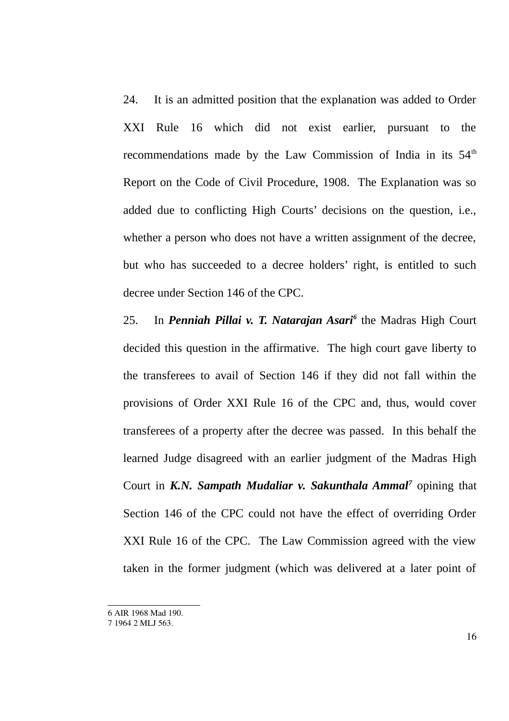24. It is an admitted position that the explanation was added to Order XXI Rule 16 which did not exist earlier, pursuant to the recommendations made by the Law Commission of India in its  $54<sup>th</sup>$ Report on the Code of Civil Procedure, 1908. The Explanation was so added due to conflicting High Courts' decisions on the question, i.e., whether a person who does not have a written assignment of the decree, but who has succeeded to a decree holders' right, is entitled to such decree under Section 146 of the CPC.

25. In *Penniah Pillai v. T. Natarajan Asari[6](#page-15-0)* the Madras High Court decided this question in the affirmative. The high court gave liberty to the transferees to avail of Section 146 if they did not fall within the provisions of Order XXI Rule 16 of the CPC and, thus, would cover transferees of a property after the decree was passed. In this behalf the learned Judge disagreed with an earlier judgment of the Madras High Court in *K.N. Sampath Mudaliar v. Sakunthala Ammal<sup>[7](#page-15-1)</sup> opining that* Section 146 of the CPC could not have the effect of overriding Order XXI Rule 16 of the CPC. The Law Commission agreed with the view taken in the former judgment (which was delivered at a later point of

<span id="page-15-0"></span><sup>6</sup> AIR 1968 Mad 190.

<span id="page-15-1"></span><sup>7 1964 2</sup> MLJ 563.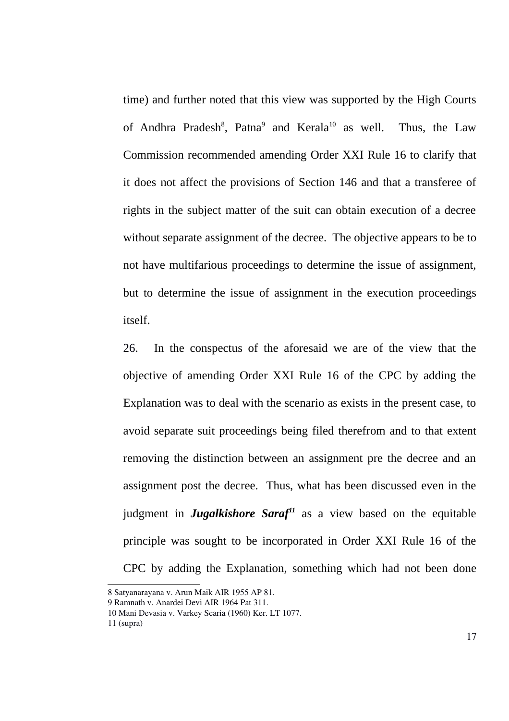time) and further noted that this view was supported by the High Courts of Andhra Pradesh<sup>[8](#page-16-0)</sup>, Patna<sup>[9](#page-16-1)</sup> and Kerala<sup>[10](#page-16-2)</sup> as well. Thus, the Law Commission recommended amending Order XXI Rule 16 to clarify that it does not affect the provisions of Section 146 and that a transferee of rights in the subject matter of the suit can obtain execution of a decree without separate assignment of the decree. The objective appears to be to not have multifarious proceedings to determine the issue of assignment, but to determine the issue of assignment in the execution proceedings itself.

26. In the conspectus of the aforesaid we are of the view that the objective of amending Order XXI Rule 16 of the CPC by adding the Explanation was to deal with the scenario as exists in the present case, to avoid separate suit proceedings being filed therefrom and to that extent removing the distinction between an assignment pre the decree and an assignment post the decree. Thus, what has been discussed even in the judgment in *Jugalkishore Saraf[11](#page-16-3)* as a view based on the equitable principle was sought to be incorporated in Order XXI Rule 16 of the CPC by adding the Explanation, something which had not been done

<span id="page-16-0"></span><sup>8</sup> Satyanarayana v. Arun Maik AIR 1955 AP 81.

<span id="page-16-1"></span><sup>9</sup> Ramnath v. Anardei Devi AIR 1964 Pat 311.

<span id="page-16-2"></span><sup>10</sup> Mani Devasia v. Varkey Scaria (1960) Ker. LT 1077.

<span id="page-16-3"></span><sup>11 (</sup>supra)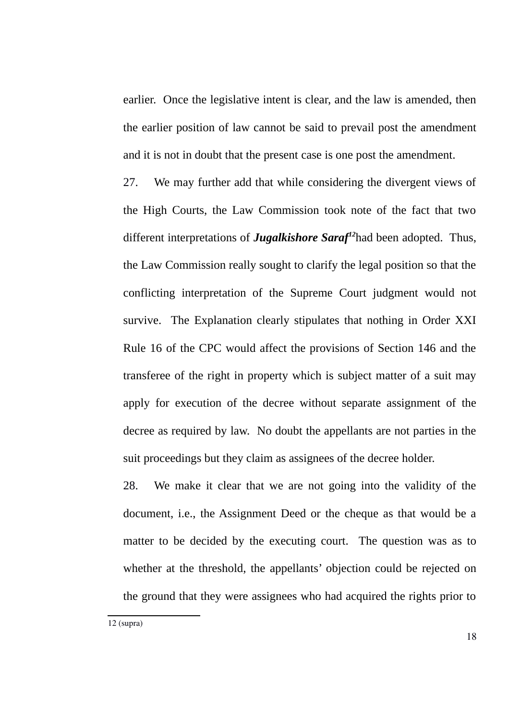earlier. Once the legislative intent is clear, and the law is amended, then the earlier position of law cannot be said to prevail post the amendment and it is not in doubt that the present case is one post the amendment.

27. We may further add that while considering the divergent views of the High Courts, the Law Commission took note of the fact that two different interpretations of *Jugalkishore Saraf[12](#page-17-0)*had been adopted. Thus, the Law Commission really sought to clarify the legal position so that the conflicting interpretation of the Supreme Court judgment would not survive. The Explanation clearly stipulates that nothing in Order XXI Rule 16 of the CPC would affect the provisions of Section 146 and the transferee of the right in property which is subject matter of a suit may apply for execution of the decree without separate assignment of the decree as required by law. No doubt the appellants are not parties in the suit proceedings but they claim as assignees of the decree holder.

<span id="page-17-0"></span>28. We make it clear that we are not going into the validity of the document, i.e., the Assignment Deed or the cheque as that would be a matter to be decided by the executing court. The question was as to whether at the threshold, the appellants' objection could be rejected on the ground that they were assignees who had acquired the rights prior to